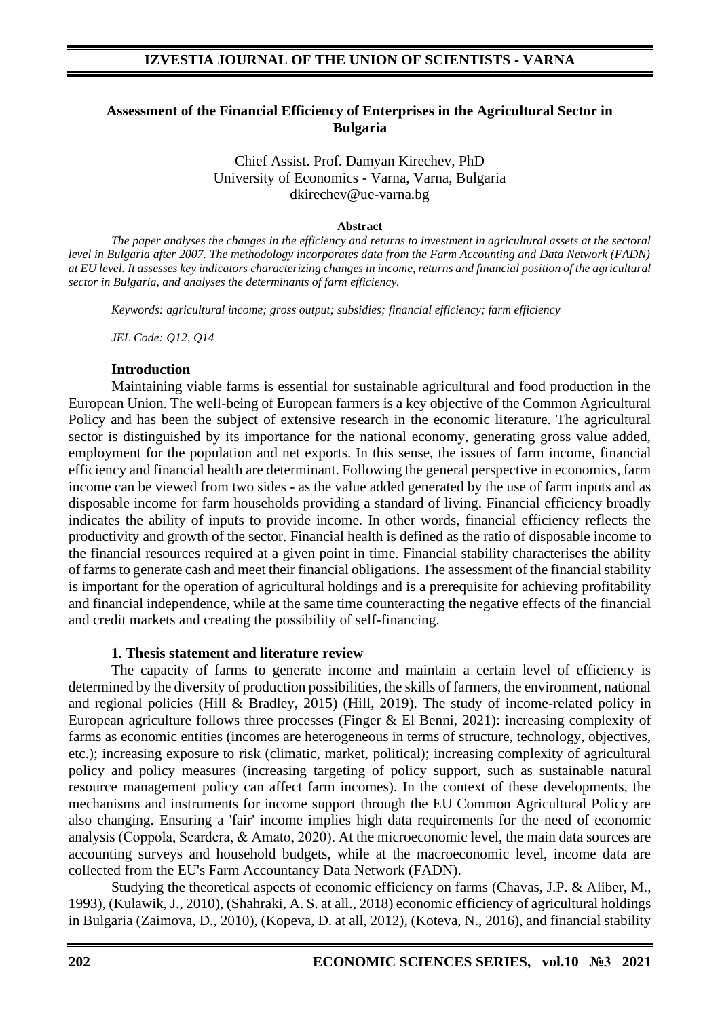### **Assessment of the Financial Efficiency of Enterprises in the Agricultural Sector in Bulgaria**

Chief Assist. Prof. Damyan Kirechev, PhD University of Economics - Varna, Varna, Bulgaria dkirechev@ue-varna.bg

#### **Abstract**

*The paper analyses the changes in the efficiency and returns to investment in agricultural assets at the sectoral level in Bulgaria after 2007. The methodology incorporates data from the Farm Accounting and Data Network (FADN) at EU level. It assesses key indicators characterizing changes in income, returns and financial position of the agricultural sector in Bulgaria, and analyses the determinants of farm efficiency.*

*Keywords: agricultural income; gross output; subsidies; financial efficiency; farm efficiency*

*JEL Code: Q12, Q14*

#### **Introduction**

Maintaining viable farms is essential for sustainable agricultural and food production in the European Union. The well-being of European farmers is a key objective of the Common Agricultural Policy and has been the subject of extensive research in the economic literature. The agricultural sector is distinguished by its importance for the national economy, generating gross value added, employment for the population and net exports. In this sense, the issues of farm income, financial efficiency and financial health are determinant. Following the general perspective in economics, farm income can be viewed from two sides - as the value added generated by the use of farm inputs and as disposable income for farm households providing a standard of living. Financial efficiency broadly indicates the ability of inputs to provide income. In other words, financial efficiency reflects the productivity and growth of the sector. Financial health is defined as the ratio of disposable income to the financial resources required at a given point in time. Financial stability characterises the ability of farms to generate cash and meet their financial obligations. The assessment of the financial stability is important for the operation of agricultural holdings and is a prerequisite for achieving profitability and financial independence, while at the same time counteracting the negative effects of the financial and credit markets and creating the possibility of self-financing.

### **1. Thesis statement and literature review**

The capacity of farms to generate income and maintain a certain level of efficiency is determined by the diversity of production possibilities, the skills of farmers, the environment, national and regional policies (Hill & Bradley, 2015) (Hill, 2019). The study of income-related policy in European agriculture follows three processes (Finger & El Benni, 2021): increasing complexity of farms as economic entities (incomes are heterogeneous in terms of structure, technology, objectives, etc.); increasing exposure to risk (climatic, market, political); increasing complexity of agricultural policy and policy measures (increasing targeting of policy support, such as sustainable natural resource management policy can affect farm incomes). In the context of these developments, the mechanisms and instruments for income support through the EU Common Agricultural Policy are also changing. Ensuring a 'fair' income implies high data requirements for the need of economic analysis (Coppola, Scardera, & Аmato, 2020). At the microeconomic level, the main data sources are accounting surveys and household budgets, while at the macroeconomic level, income data are collected from the EU's Farm Accountancy Data Network (FADN).

Studying the theoretical aspects of economic efficiency on farms (Chavas, J.P. & Aliber, M., 1993), (Kulawik, J., 2010), (Shahraki, A. S. at all., 2018) economic efficiency of agricultural holdings in Bulgaria (Zaimova, D., 2010), (Kopeva, D. at all, 2012), (Koteva, N., 2016), and financial stability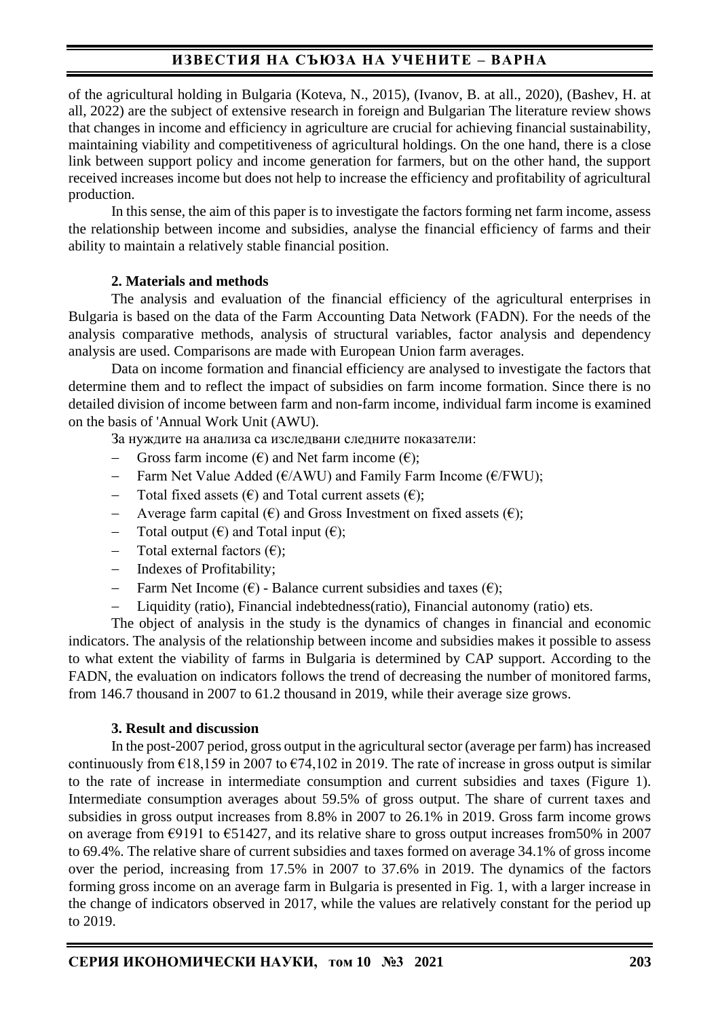of the agricultural holding in Bulgaria (Koteva, N., 2015), (Ivanov, B. at all., 2020), (Bashev, H. at all, 2022) are the subject of extensive research in foreign and Bulgarian The literature review shows that changes in income and efficiency in agriculture are crucial for achieving financial sustainability, maintaining viability and competitiveness of agricultural holdings. On the one hand, there is a close link between support policy and income generation for farmers, but on the other hand, the support received increases income but does not help to increase the efficiency and profitability of agricultural production.

In this sense, the aim of this paper is to investigate the factors forming net farm income, assess the relationship between income and subsidies, analyse the financial efficiency of farms and their ability to maintain a relatively stable financial position.

### **2. Materials and methods**

The analysis and evaluation of the financial efficiency of the agricultural enterprises in Bulgaria is based on the data of the Farm Accounting Data Network (FADN). For the needs of the analysis comparative methods, analysis of structural variables, factor analysis and dependency analysis are used. Comparisons are made with European Union farm averages.

Data on income formation and financial efficiency are analysed to investigate the factors that determine them and to reflect the impact of subsidies on farm income formation. Since there is no detailed division of income between farm and non-farm income, individual farm income is examined on the basis of 'Annual Work Unit (AWU).

За нуждите на анализа са изследвани следните показатели:

- − Gross farm income (€) and Net farm income (€);
- Farm Net Value Added (€/AWU) and Family Farm Income (€/FWU);
- Total fixed assets  $(\epsilon)$  and Total current assets  $(\epsilon)$ ;
- Average farm capital (€) and Gross Investment on fixed assets (€);
- − Total output (€) and Total input (€);
- − Total external factors (€);
- Indexes of Profitability;
- − Farm Net Income (€) Balance current subsidies and taxes (€);
- − Liquidity (ratio), Financial indebtedness(ratio), Financial autonomy (ratio) ets.

The object of analysis in the study is the dynamics of changes in financial and economic indicators. The analysis of the relationship between income and subsidies makes it possible to assess to what extent the viability of farms in Bulgaria is determined by CAP support. According to the FADN, the evaluation on indicators follows the trend of decreasing the number of monitored farms, from 146.7 thousand in 2007 to 61.2 thousand in 2019, while their average size grows.

### **3. Result and discussion**

In the post-2007 period, gross output in the agricultural sector (average per farm) has increased continuously from  $\epsilon$ 18,159 in 2007 to  $\epsilon$ 74,102 in 2019. The rate of increase in gross output is similar to the rate of increase in intermediate consumption and current subsidies and taxes (Figure 1). Intermediate consumption averages about 59.5% of gross output. The share of current taxes and subsidies in gross output increases from 8.8% in 2007 to 26.1% in 2019. Gross farm income grows on average from  $\epsilon$ 9191 to  $\epsilon$ 51427, and its relative share to gross output increases from 50% in 2007 to 69.4%. The relative share of current subsidies and taxes formed on average 34.1% of gross income over the period, increasing from 17.5% in 2007 to 37.6% in 2019. The dynamics of the factors forming gross income on an average farm in Bulgaria is presented in Fig. 1, with a larger increase in the change of indicators observed in 2017, while the values are relatively constant for the period up to 2019.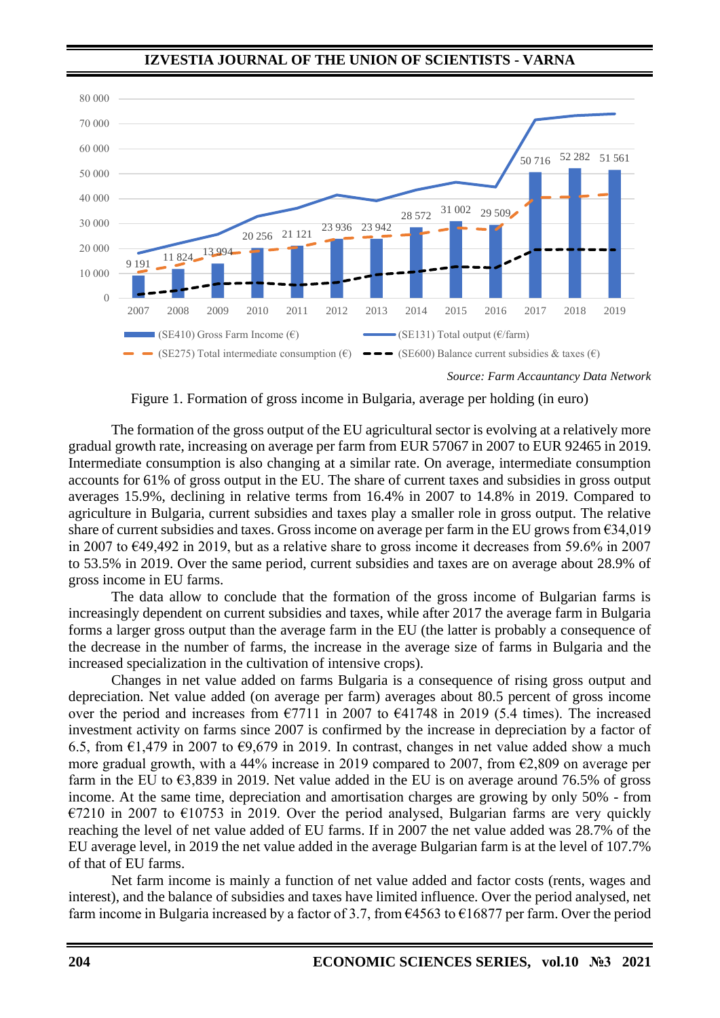

*Source: Farm Accauntancy Data Network*

Figure 1. Formation of gross income in Bulgaria, average per holding (in euro)

The formation of the gross output of the EU agricultural sector is evolving at a relatively more gradual growth rate, increasing on average per farm from EUR 57067 in 2007 to EUR 92465 in 2019. Intermediate consumption is also changing at a similar rate. On average, intermediate consumption accounts for 61% of gross output in the EU. The share of current taxes and subsidies in gross output averages 15.9%, declining in relative terms from 16.4% in 2007 to 14.8% in 2019. Compared to agriculture in Bulgaria, current subsidies and taxes play a smaller role in gross output. The relative share of current subsidies and taxes. Gross income on average per farm in the EU grows from  $\epsilon$ 34,019 in 2007 to €49,492 in 2019, but as a relative share to gross income it decreases from 59.6% in 2007 to 53.5% in 2019. Over the same period, current subsidies and taxes are on average about 28.9% of gross income in EU farms.

The data allow to conclude that the formation of the gross income of Bulgarian farms is increasingly dependent on current subsidies and taxes, while after 2017 the average farm in Bulgaria forms a larger gross output than the average farm in the EU (the latter is probably a consequence of the decrease in the number of farms, the increase in the average size of farms in Bulgaria and the increased specialization in the cultivation of intensive crops).

Changes in net value added on farms Bulgaria is a consequence of rising gross output and depreciation. Net value added (on average per farm) averages about 80.5 percent of gross income over the period and increases from  $\epsilon$ 7711 in 2007 to  $\epsilon$ 41748 in 2019 (5.4 times). The increased investment activity on farms since 2007 is confirmed by the increase in depreciation by a factor of 6.5, from  $\epsilon$ 1,479 in 2007 to  $\epsilon$ 9,679 in 2019. In contrast, changes in net value added show a much more gradual growth, with a 44% increase in 2019 compared to 2007, from  $\epsilon$ 2,809 on average per farm in the EU to  $\epsilon$ 3,839 in 2019. Net value added in the EU is on average around 76.5% of gross income. At the same time, depreciation and amortisation charges are growing by only 50% - from  $\epsilon$ 7210 in 2007 to  $\epsilon$ 10753 in 2019. Over the period analysed, Bulgarian farms are very quickly reaching the level of net value added of EU farms. If in 2007 the net value added was 28.7% of the EU average level, in 2019 the net value added in the average Bulgarian farm is at the level of 107.7% of that of EU farms.

Net farm income is mainly a function of net value added and factor costs (rents, wages and interest), and the balance of subsidies and taxes have limited influence. Over the period analysed, net farm income in Bulgaria increased by a factor of 3.7, from  $\epsilon$ 4563 to  $\epsilon$ 16877 per farm. Over the period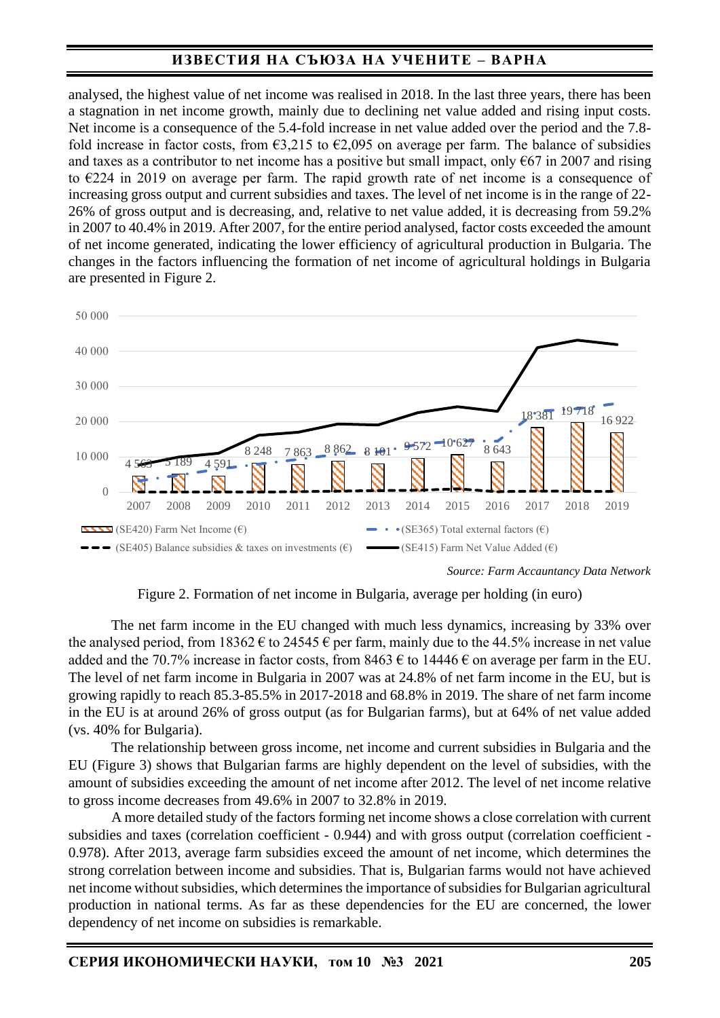analysed, the highest value of net income was realised in 2018. In the last three years, there has been a stagnation in net income growth, mainly due to declining net value added and rising input costs. Net income is a consequence of the 5.4-fold increase in net value added over the period and the 7.8fold increase in factor costs, from  $\epsilon$ 3,215 to  $\epsilon$ 2,095 on average per farm. The balance of subsidies and taxes as a contributor to net income has a positive but small impact, only  $667$  in 2007 and rising to €224 in 2019 on average per farm. The rapid growth rate of net income is a consequence of increasing gross output and current subsidies and taxes. The level of net income is in the range of 22- 26% of gross output and is decreasing, and, relative to net value added, it is decreasing from 59.2% in 2007 to 40.4% in 2019. After 2007, for the entire period analysed, factor costs exceeded the amount of net income generated, indicating the lower efficiency of agricultural production in Bulgaria. The changes in the factors influencing the formation of net income of agricultural holdings in Bulgaria are presented in Figure 2.



*Source: Farm Accauntancy Data Network*

Figure 2. Formation of net income in Bulgaria, average per holding (in euro)

The net farm income in the EU changed with much less dynamics, increasing by 33% over the analysed period, from  $18362 \text{ } \in \infty$  14545  $\in \infty$  per farm, mainly due to the 44.5% increase in net value added and the 70.7% increase in factor costs, from 8463  $\epsilon$  to 14446  $\epsilon$  on average per farm in the EU. The level of net farm income in Bulgaria in 2007 was at 24.8% of net farm income in the EU, but is growing rapidly to reach 85.3-85.5% in 2017-2018 and 68.8% in 2019. The share of net farm income in the EU is at around 26% of gross output (as for Bulgarian farms), but at 64% of net value added (vs. 40% for Bulgaria).

The relationship between gross income, net income and current subsidies in Bulgaria and the EU (Figure 3) shows that Bulgarian farms are highly dependent on the level of subsidies, with the amount of subsidies exceeding the amount of net income after 2012. The level of net income relative to gross income decreases from 49.6% in 2007 to 32.8% in 2019.

A more detailed study of the factors forming net income shows a close correlation with current subsidies and taxes (correlation coefficient - 0.944) and with gross output (correlation coefficient - 0.978). After 2013, average farm subsidies exceed the amount of net income, which determines the strong correlation between income and subsidies. That is, Bulgarian farms would not have achieved net income without subsidies, which determines the importance of subsidies for Bulgarian agricultural production in national terms. As far as these dependencies for the EU are concerned, the lower dependency of net income on subsidies is remarkable.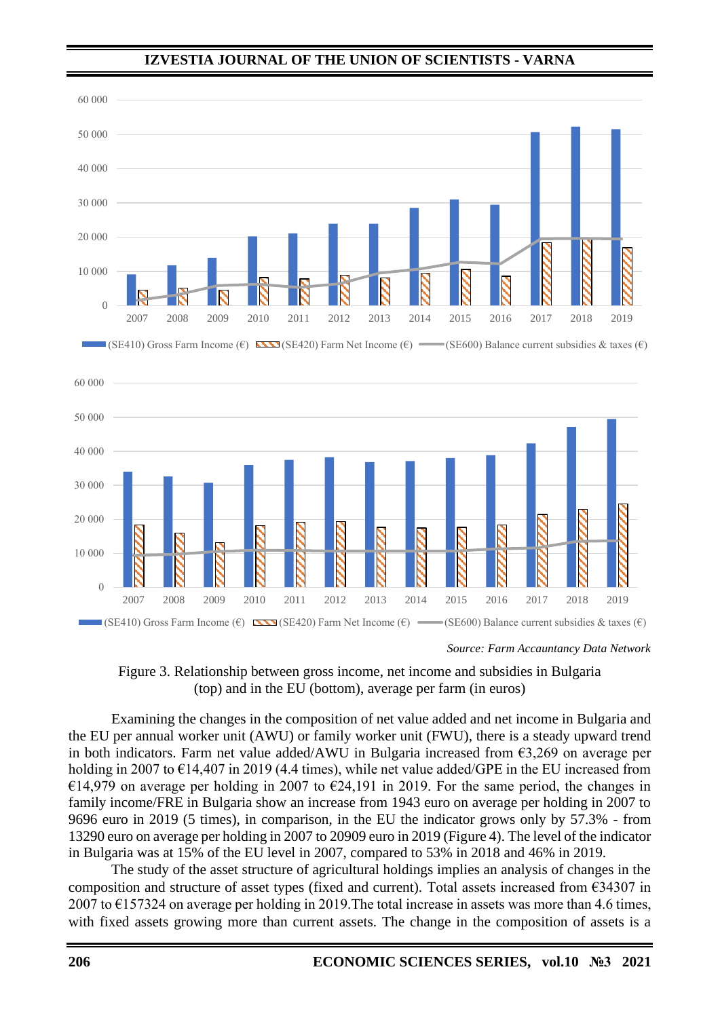

*Source: Farm Accauntancy Data Network*



Examining the changes in the composition of net value added and net income in Bulgaria and the EU per annual worker unit (AWU) or family worker unit (FWU), there is a steady upward trend in both indicators. Farm net value added/AWU in Bulgaria increased from  $\epsilon$ 3,269 on average per holding in 2007 to  $\epsilon$ 14,407 in 2019 (4.4 times), while net value added/GPE in the EU increased from €14,979 on average per holding in 2007 to €24,191 in 2019. For the same period, the changes in family income/FRE in Bulgaria show an increase from 1943 euro on average per holding in 2007 to 9696 euro in 2019 (5 times), in comparison, in the EU the indicator grows only by 57.3% - from 13290 euro on average per holding in 2007 to 20909 euro in 2019 (Figure 4). The level of the indicator in Bulgaria was at 15% of the EU level in 2007, compared to 53% in 2018 and 46% in 2019.

The study of the asset structure of agricultural holdings implies an analysis of changes in the composition and structure of asset types (fixed and current). Total assets increased from  $\epsilon$ 34307 in 2007 to  $\epsilon$ 157324 on average per holding in 2019. The total increase in assets was more than 4.6 times, with fixed assets growing more than current assets. The change in the composition of assets is a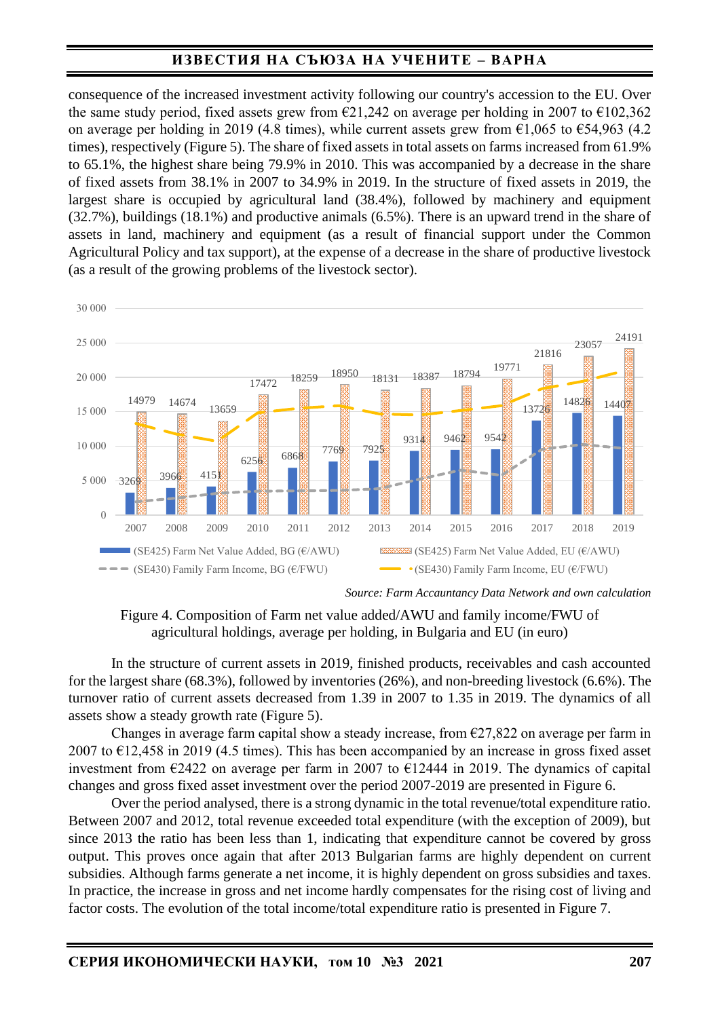consequence of the increased investment activity following our country's accession to the EU. Over the same study period, fixed assets grew from  $\epsilon$ 21,242 on average per holding in 2007 to  $\epsilon$ 102,362 on average per holding in 2019 (4.8 times), while current assets grew from  $\epsilon$ 1,065 to  $\epsilon$ 54,963 (4.2) times), respectively (Figure 5). The share of fixed assets in total assets on farms increased from 61.9% to 65.1%, the highest share being 79.9% in 2010. This was accompanied by a decrease in the share of fixed assets from 38.1% in 2007 to 34.9% in 2019. In the structure of fixed assets in 2019, the largest share is occupied by agricultural land (38.4%), followed by machinery and equipment (32.7%), buildings (18.1%) and productive animals (6.5%). There is an upward trend in the share of assets in land, machinery and equipment (as a result of financial support under the Common Agricultural Policy and tax support), at the expense of a decrease in the share of productive livestock (as a result of the growing problems of the livestock sector).



*Source: Farm Accauntancy Data Network and own calculation*

Figure 4. Composition of Farm net value added/AWU and family income/FWU of agricultural holdings, average per holding, in Bulgaria and EU (in euro)

In the structure of current assets in 2019, finished products, receivables and cash accounted for the largest share (68.3%), followed by inventories (26%), and non-breeding livestock (6.6%). The turnover ratio of current assets decreased from 1.39 in 2007 to 1.35 in 2019. The dynamics of all assets show a steady growth rate (Figure 5).

Changes in average farm capital show a steady increase, from  $\epsilon$ 27,822 on average per farm in 2007 to  $E12,458$  in 2019 (4.5 times). This has been accompanied by an increase in gross fixed asset investment from €2422 on average per farm in 2007 to €12444 in 2019. The dynamics of capital changes and gross fixed asset investment over the period 2007-2019 are presented in Figure 6.

Over the period analysed, there is a strong dynamic in the total revenue/total expenditure ratio. Between 2007 and 2012, total revenue exceeded total expenditure (with the exception of 2009), but since 2013 the ratio has been less than 1, indicating that expenditure cannot be covered by gross output. This proves once again that after 2013 Bulgarian farms are highly dependent on current subsidies. Although farms generate a net income, it is highly dependent on gross subsidies and taxes. In practice, the increase in gross and net income hardly compensates for the rising cost of living and factor costs. The evolution of the total income/total expenditure ratio is presented in Figure 7.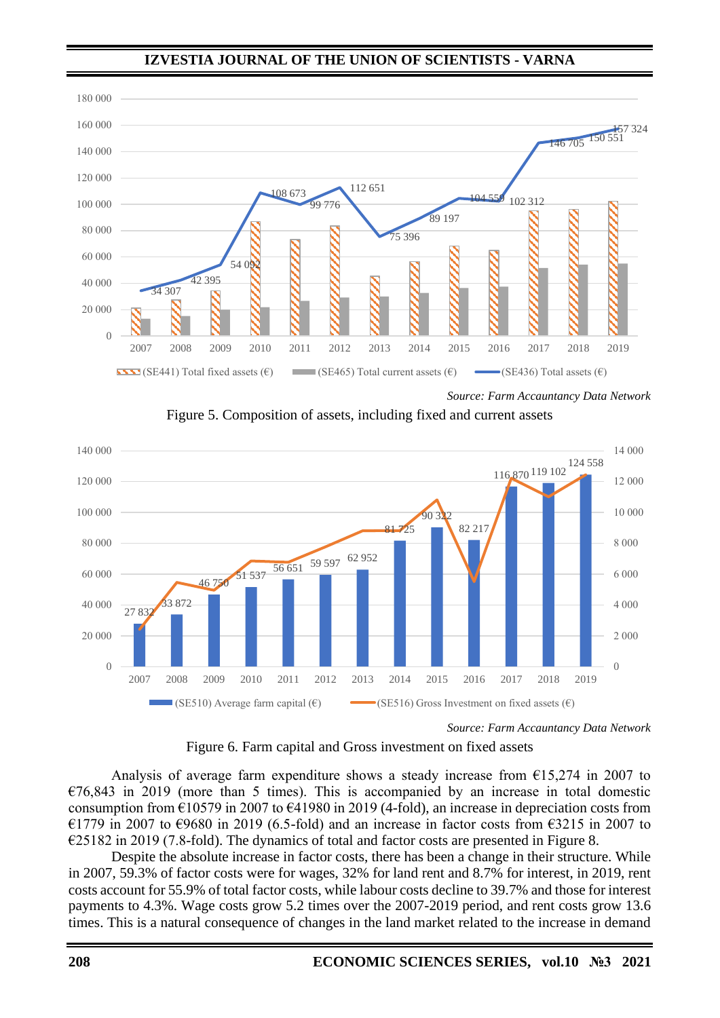

*Source: Farm Accauntancy Data Network*

Figure 5. Composition of assets, including fixed and current assets



*Source: Farm Accauntancy Data Network*



Analysis of average farm expenditure shows a steady increase from  $\epsilon$ 15,274 in 2007 to  $€76,843$  in 2019 (more than 5 times). This is accompanied by an increase in total domestic consumption from  $\epsilon$ 10579 in 2007 to  $\epsilon$ 41980 in 2019 (4-fold), an increase in depreciation costs from €1779 in 2007 to €9680 in 2019 (6.5-fold) and an increase in factor costs from €3215 in 2007 to  $\epsilon$ 25182 in 2019 (7.8-fold). The dynamics of total and factor costs are presented in Figure 8.

Despite the absolute increase in factor costs, there has been a change in their structure. While in 2007, 59.3% of factor costs were for wages, 32% for land rent and 8.7% for interest, in 2019, rent costs account for 55.9% of total factor costs, while labour costs decline to 39.7% and those for interest payments to 4.3%. Wage costs grow 5.2 times over the 2007-2019 period, and rent costs grow 13.6 times. This is a natural consequence of changes in the land market related to the increase in demand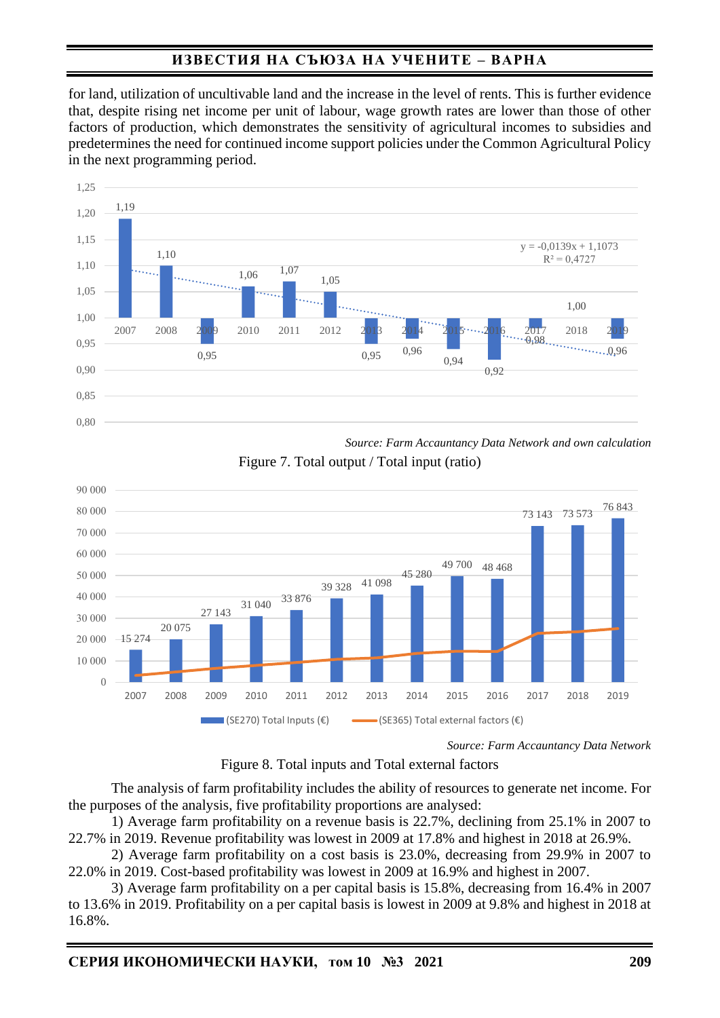for land, utilization of uncultivable land and the increase in the level of rents. This is further evidence that, despite rising net income per unit of labour, wage growth rates are lower than those of other factors of production, which demonstrates the sensitivity of agricultural incomes to subsidies and predetermines the need for continued income support policies under the Common Agricultural Policy in the next programming period.



*Source: Farm Accauntancy Data Network and own calculation*

Figure 7. Total output / Total input (ratio)



*Source: Farm Accauntancy Data Network*

Figure 8. Total inputs and Total external factors

The analysis of farm profitability includes the ability of resources to generate net income. For the purposes of the analysis, five profitability proportions are analysed:

1) Average farm profitability on a revenue basis is 22.7%, declining from 25.1% in 2007 to 22.7% in 2019. Revenue profitability was lowest in 2009 at 17.8% and highest in 2018 at 26.9%.

2) Average farm profitability on a cost basis is 23.0%, decreasing from 29.9% in 2007 to 22.0% in 2019. Cost-based profitability was lowest in 2009 at 16.9% and highest in 2007.

3) Average farm profitability on a per capital basis is 15.8%, decreasing from 16.4% in 2007 to 13.6% in 2019. Profitability on a per capital basis is lowest in 2009 at 9.8% and highest in 2018 at 16.8%.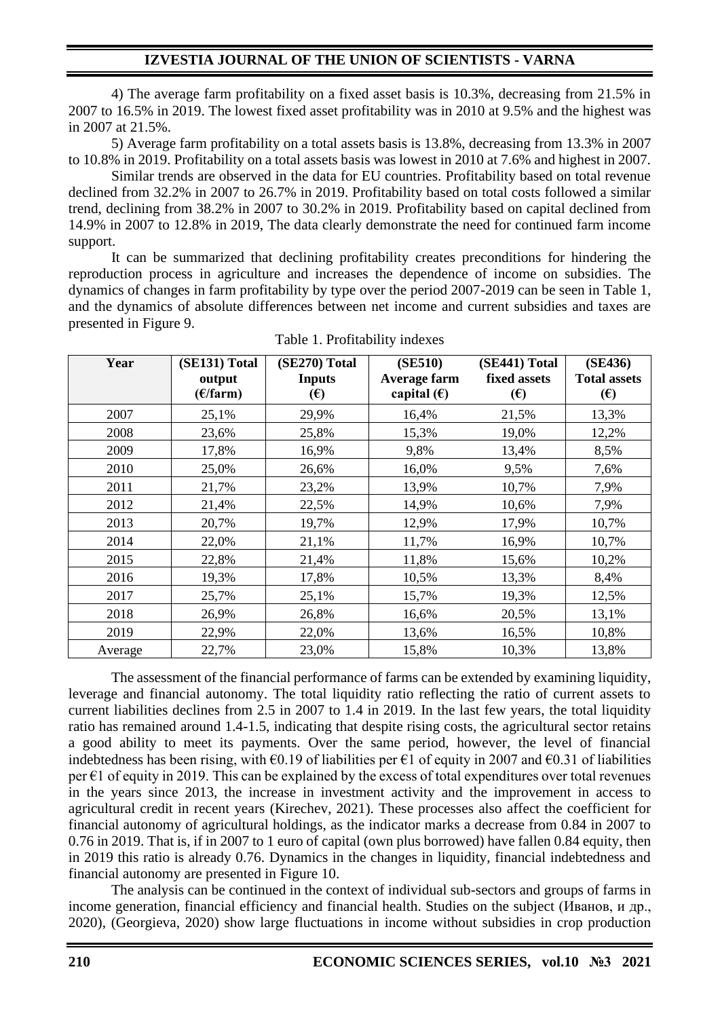4) The average farm profitability on a fixed asset basis is 10.3%, decreasing from 21.5% in 2007 to 16.5% in 2019. The lowest fixed asset profitability was in 2010 at 9.5% and the highest was in 2007 at 21.5%.

5) Average farm profitability on a total assets basis is 13.8%, decreasing from 13.3% in 2007 to 10.8% in 2019. Profitability on a total assets basis was lowest in 2010 at 7.6% and highest in 2007.

Similar trends are observed in the data for EU countries. Profitability based on total revenue declined from 32.2% in 2007 to 26.7% in 2019. Profitability based on total costs followed a similar trend, declining from 38.2% in 2007 to 30.2% in 2019. Profitability based on capital declined from 14.9% in 2007 to 12.8% in 2019, The data clearly demonstrate the need for continued farm income support.

It can be summarized that declining profitability creates preconditions for hindering the reproduction process in agriculture and increases the dependence of income on subsidies. The dynamics of changes in farm profitability by type over the period 2007-2019 can be seen in Table 1, and the dynamics of absolute differences between net income and current subsidies and taxes are presented in Figure 9.

| Year    | (SE131) Total<br>output<br>(E/farm) | (SE270) Total<br><b>Inputs</b><br>$(\epsilon)$ | (SE510)<br>Average farm<br>capital $(\epsilon)$ | (SE441) Total<br>fixed assets<br>$(\epsilon)$ | (SE436)<br><b>Total assets</b><br>$(\epsilon)$ |
|---------|-------------------------------------|------------------------------------------------|-------------------------------------------------|-----------------------------------------------|------------------------------------------------|
| 2007    | 25,1%                               | 29,9%                                          | 16,4%                                           | 21,5%                                         | 13,3%                                          |
| 2008    | 23,6%                               | 25,8%                                          | 15,3%                                           | 19,0%                                         | 12,2%                                          |
| 2009    | 17,8%                               | 16,9%                                          | 9,8%                                            | 13,4%                                         | 8,5%                                           |
| 2010    | 25,0%                               | 26,6%                                          | 16,0%                                           | 9,5%                                          | 7,6%                                           |
| 2011    | 21,7%                               | 23,2%                                          | 13,9%                                           | 10,7%                                         | 7,9%                                           |
| 2012    | 21,4%                               | 22,5%                                          | 14,9%                                           | 10,6%                                         | 7,9%                                           |
| 2013    | 20,7%                               | 19,7%                                          | 12,9%                                           | 17,9%                                         | 10,7%                                          |
| 2014    | 22,0%                               | 21,1%                                          | 11,7%                                           | 16,9%                                         | 10,7%                                          |
| 2015    | 22,8%                               | 21,4%                                          | 11,8%                                           | 15,6%                                         | 10,2%                                          |
| 2016    | 19,3%                               | 17,8%                                          | 10,5%                                           | 13,3%                                         | 8,4%                                           |
| 2017    | 25,7%                               | 25,1%                                          | 15,7%                                           | 19,3%                                         | 12,5%                                          |
| 2018    | 26,9%                               | 26,8%                                          | 16,6%                                           | 20,5%                                         | 13,1%                                          |
| 2019    | 22,9%                               | 22,0%                                          | 13,6%                                           | 16,5%                                         | 10,8%                                          |
| Average | 22,7%                               | 23,0%                                          | 15,8%                                           | 10,3%                                         | 13,8%                                          |

Table 1. Profitability indexes

The assessment of the financial performance of farms can be extended by examining liquidity, leverage and financial autonomy. The total liquidity ratio reflecting the ratio of current assets to current liabilities declines from 2.5 in 2007 to 1.4 in 2019. In the last few years, the total liquidity ratio has remained around 1.4-1.5, indicating that despite rising costs, the agricultural sector retains a good ability to meet its payments. Over the same period, however, the level of financial indebtedness has been rising, with  $\epsilon$ 0.19 of liabilities per  $\epsilon$ 1 of equity in 2007 and  $\epsilon$ 0.31 of liabilities per  $\epsilon$ 1 of equity in 2019. This can be explained by the excess of total expenditures over total revenues in the years since 2013, the increase in investment activity and the improvement in access to agricultural credit in recent years (Kirechev, 2021). These processes also affect the coefficient for financial autonomy of agricultural holdings, as the indicator marks a decrease from 0.84 in 2007 to 0.76 in 2019. That is, if in 2007 to 1 euro of capital (own plus borrowed) have fallen 0.84 equity, then in 2019 this ratio is already 0.76. Dynamics in the changes in liquidity, financial indebtedness and financial autonomy are presented in Figure 10.

The analysis can be continued in the context of individual sub-sectors and groups of farms in income generation, financial efficiency and financial health. Studies on the subject (Иванов, и др., 2020), (Georgieva, 2020) show large fluctuations in income without subsidies in crop production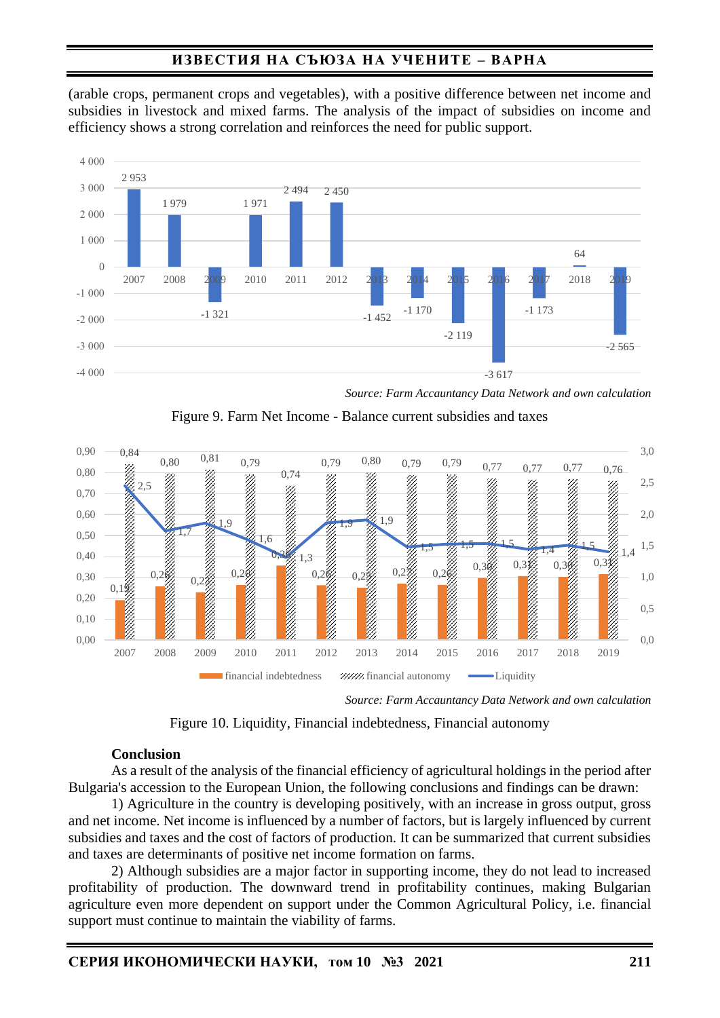(arable crops, permanent crops and vegetables), with a positive difference between net income and subsidies in livestock and mixed farms. The analysis of the impact of subsidies on income and efficiency shows a strong correlation and reinforces the need for public support.



*Source: Farm Accauntancy Data Network and own calculation*





*Source: Farm Accauntancy Data Network and own calculation*

Figure 10. Liquidity, Financial indebtedness, Financial autonomy

### **Conclusion**

As a result of the analysis of the financial efficiency of agricultural holdings in the period after Bulgaria's accession to the European Union, the following conclusions and findings can be drawn:

1) Agriculture in the country is developing positively, with an increase in gross output, gross and net income. Net income is influenced by a number of factors, but is largely influenced by current subsidies and taxes and the cost of factors of production. It can be summarized that current subsidies and taxes are determinants of positive net income formation on farms.

2) Although subsidies are a major factor in supporting income, they do not lead to increased profitability of production. The downward trend in profitability continues, making Bulgarian agriculture even more dependent on support under the Common Agricultural Policy, i.e. financial support must continue to maintain the viability of farms.